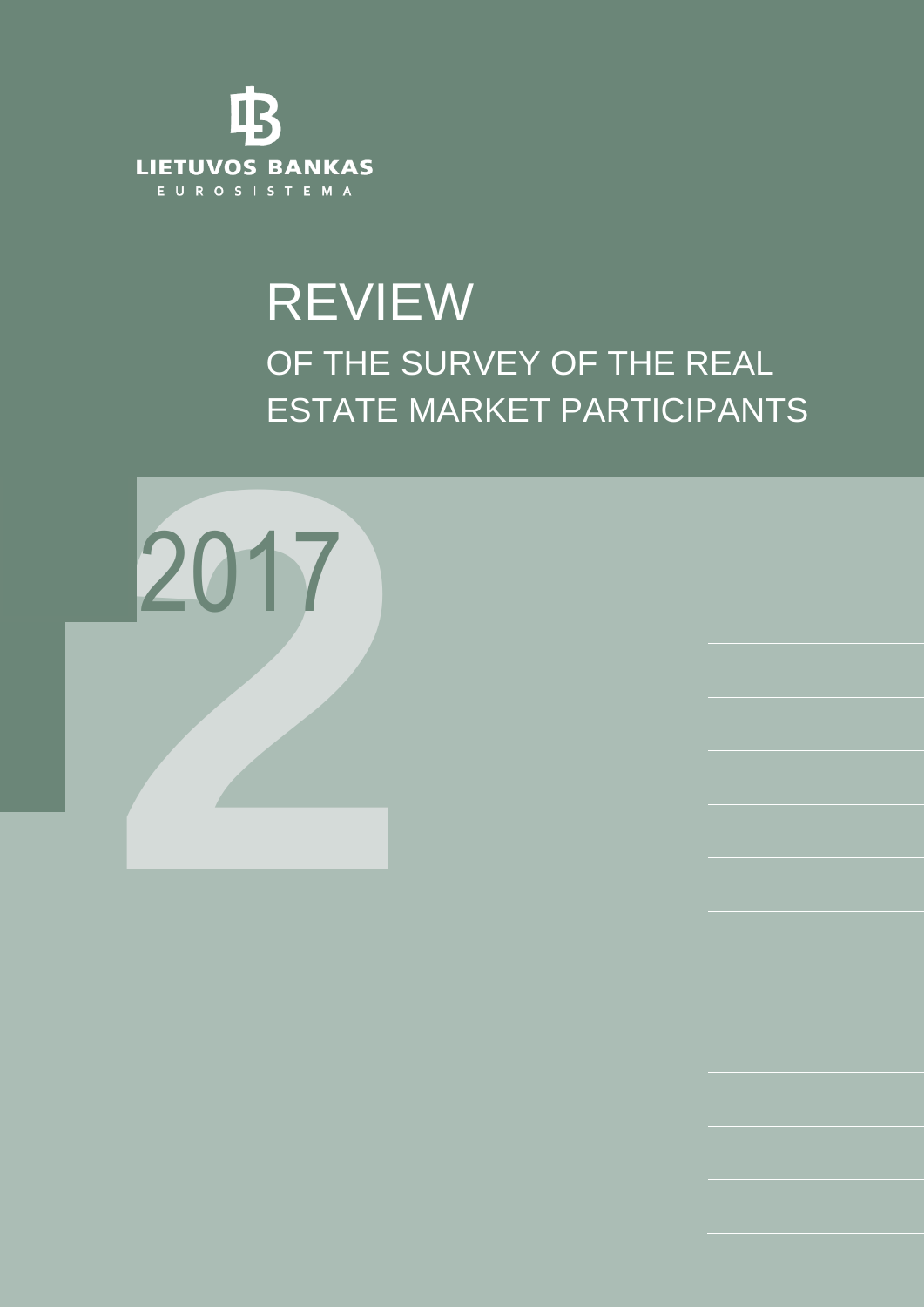

# REVIEW OF THE SURVEY OF THE REAL ESTATE MARKET PARTICIPANTS

REVIEW OF THE SURVEY OF THE REAL ESTATE MARKET PARTICIPANTS 2017/2

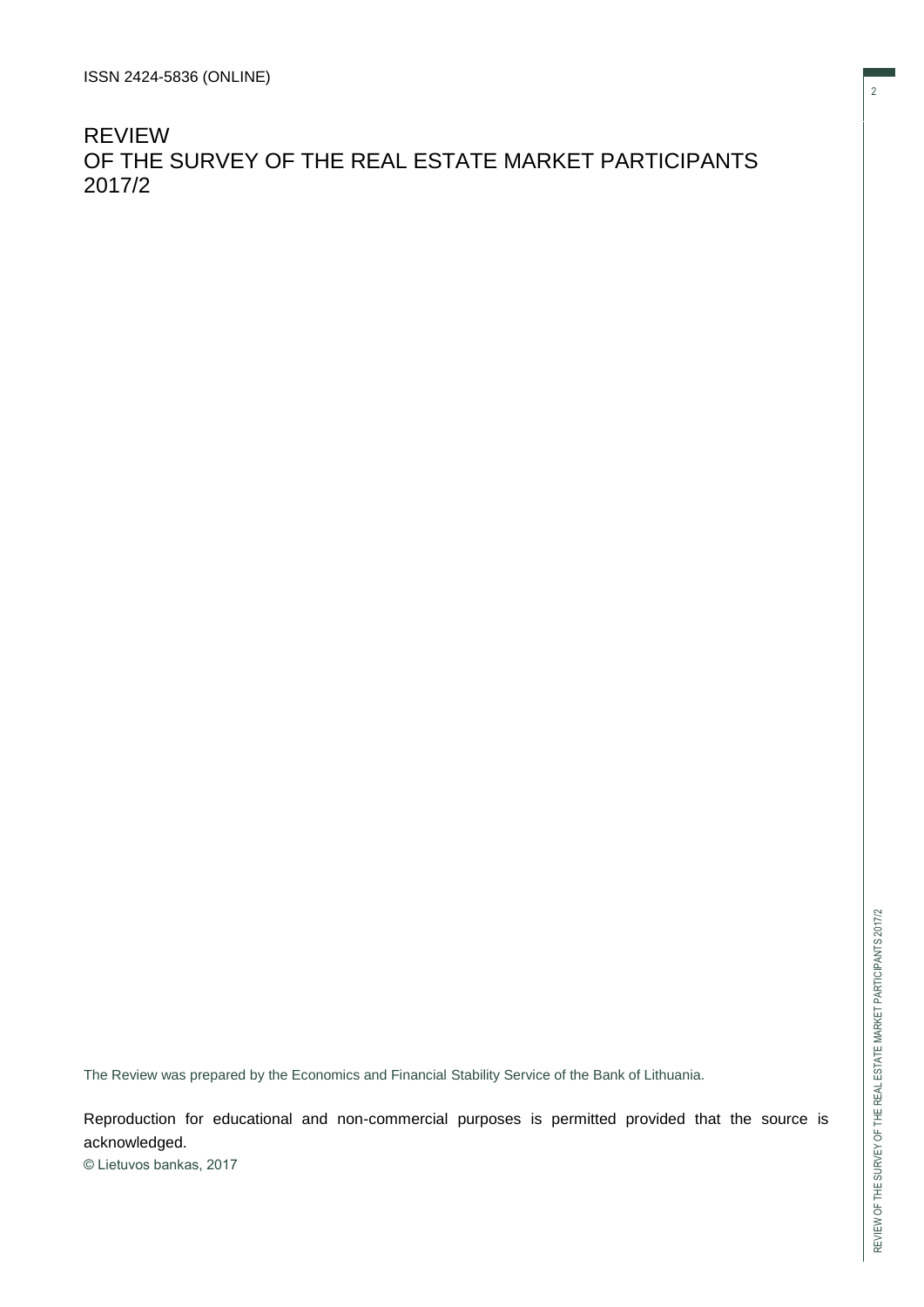REVIEW OF THE SURVEY OF THE REAL ESTATE MARKET PARTICIPANTS 2017/2

The Review was prepared by the Economics and Financial Stability Service of the Bank of Lithuania.

Reproduction for educational and non-commercial purposes is permitted provided that the source is acknowledged.

© Lietuvos bankas, 2017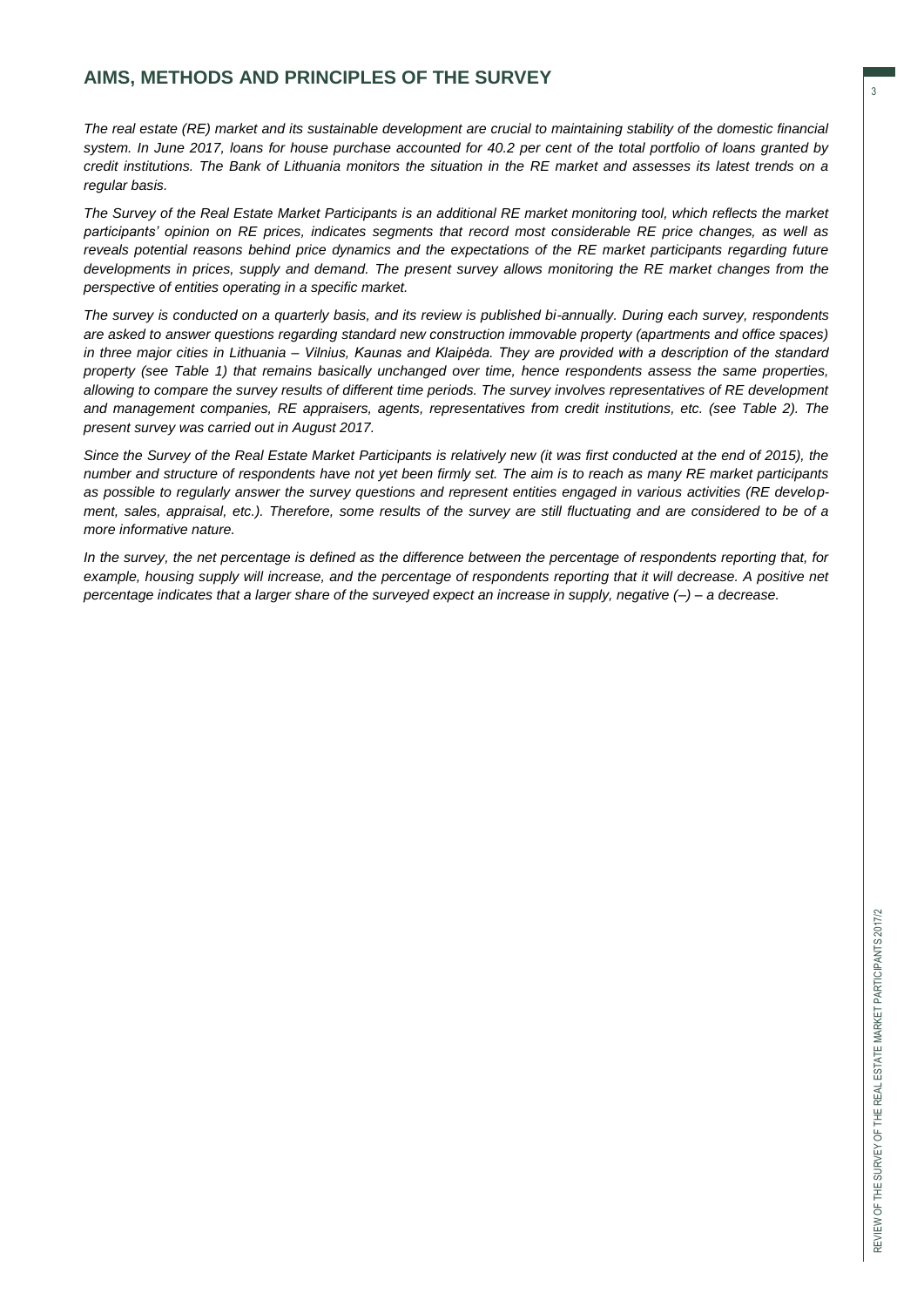### **AIMS, METHODS AND PRINCIPLES OF THE SURVEY**

*The real estate (RE) market and its sustainable development are crucial to maintaining stability of the domestic financial system. In June 2017, loans for house purchase accounted for 40.2 per cent of the total portfolio of loans granted by credit institutions. The Bank of Lithuania monitors the situation in the RE market and assesses its latest trends on a regular basis.* 

*The Survey of the Real Estate Market Participants is an additional RE market monitoring tool, which reflects the market participants' opinion on RE prices, indicates segments that record most considerable RE price changes, as well as reveals potential reasons behind price dynamics and the expectations of the RE market participants regarding future developments in prices, supply and demand. The present survey allows monitoring the RE market changes from the perspective of entities operating in a specific market.* 

*The survey is conducted on a quarterly basis, and its review is published bi-annually. During each survey, respondents are asked to answer questions regarding standard new construction immovable property (apartments and office spaces) in three major cities in Lithuania – Vilnius, Kaunas and Klaipėda. They are provided with a description of the standard property (see Table 1) that remains basically unchanged over time, hence respondents assess the same properties, allowing to compare the survey results of different time periods. The survey involves representatives of RE development and management companies, RE appraisers, agents, representatives from credit institutions, etc. (see Table 2). The present survey was carried out in August 2017.* 

*Since the Survey of the Real Estate Market Participants is relatively new (it was first conducted at the end of 2015), the number and structure of respondents have not yet been firmly set. The aim is to reach as many RE market participants as possible to regularly answer the survey questions and represent entities engaged in various activities (RE development, sales, appraisal, etc.). Therefore, some results of the survey are still fluctuating and are considered to be of a more informative nature.* 

*In the survey, the net percentage is defined as the difference between the percentage of respondents reporting that, for*  example, housing supply will increase, and the percentage of respondents reporting that it will decrease. A positive net *percentage indicates that a larger share of the surveyed expect an increase in supply, negative (–) – a decrease.*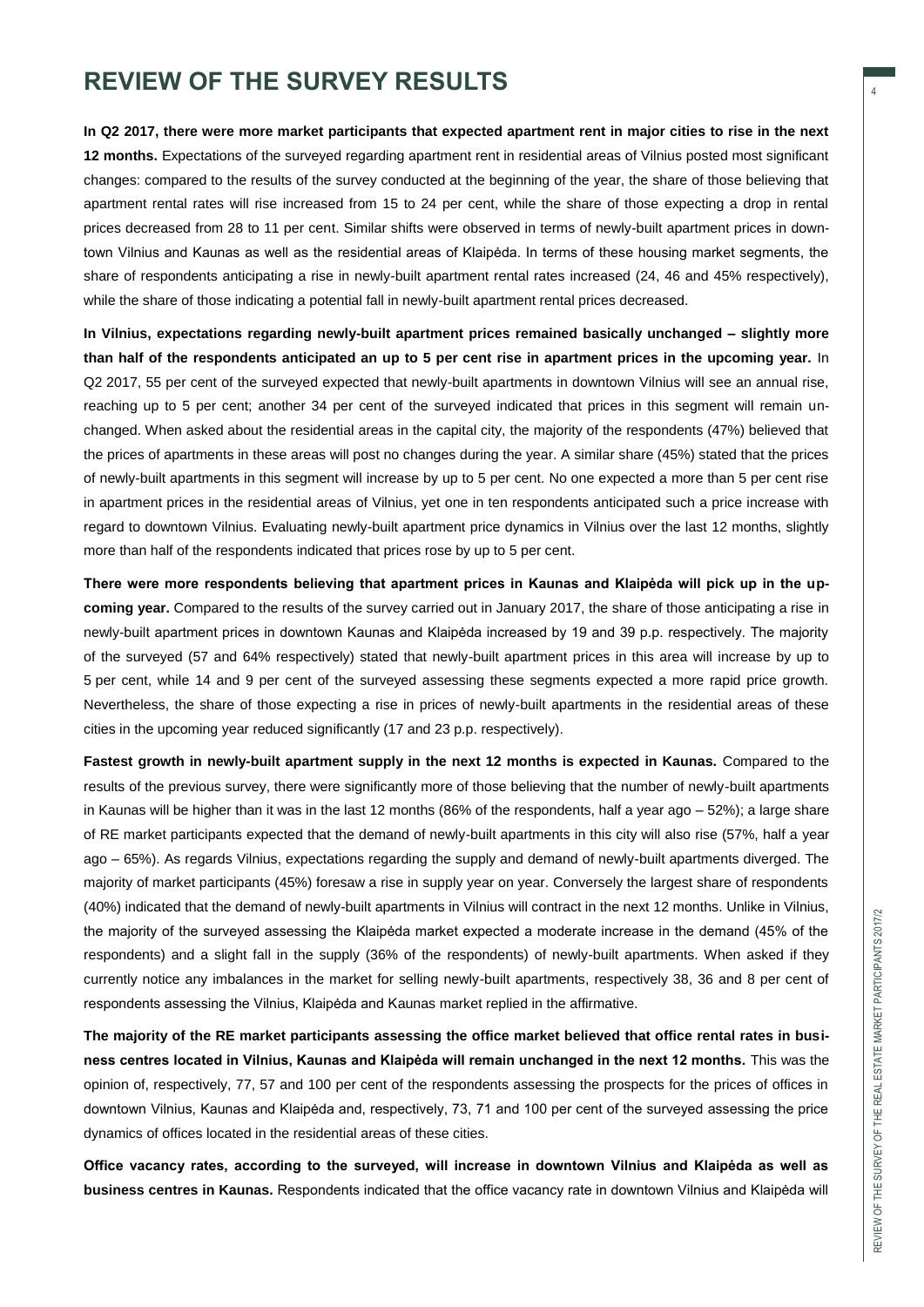## **REVIEW OF THE SURVEY RESULTS**

**In Q2 2017, there were more market participants that expected apartment rent in major cities to rise in the next 12 months.** Expectations of the surveyed regarding apartment rent in residential areas of Vilnius posted most significant changes: compared to the results of the survey conducted at the beginning of the year, the share of those believing that apartment rental rates will rise increased from 15 to 24 per cent, while the share of those expecting a drop in rental prices decreased from 28 to 11 per cent. Similar shifts were observed in terms of newly-built apartment prices in downtown Vilnius and Kaunas as well as the residential areas of Klaipėda. In terms of these housing market segments, the share of respondents anticipating a rise in newly-built apartment rental rates increased (24, 46 and 45% respectively), while the share of those indicating a potential fall in newly-built apartment rental prices decreased.

**In Vilnius, expectations regarding newly-built apartment prices remained basically unchanged – slightly more than half of the respondents anticipated an up to 5 per cent rise in apartment prices in the upcoming year.** In Q2 2017, 55 per cent of the surveyed expected that newly-built apartments in downtown Vilnius will see an annual rise, reaching up to 5 per cent; another 34 per cent of the surveyed indicated that prices in this segment will remain unchanged. When asked about the residential areas in the capital city, the majority of the respondents (47%) believed that the prices of apartments in these areas will post no changes during the year. A similar share (45%) stated that the prices of newly-built apartments in this segment will increase by up to 5 per cent. No one expected a more than 5 per cent rise in apartment prices in the residential areas of Vilnius, yet one in ten respondents anticipated such a price increase with regard to downtown Vilnius. Evaluating newly-built apartment price dynamics in Vilnius over the last 12 months, slightly more than half of the respondents indicated that prices rose by up to 5 per cent.

**There were more respondents believing that apartment prices in Kaunas and Klaipėda will pick up in the upcoming year.** Compared to the results of the survey carried out in January 2017, the share of those anticipating a rise in newly-built apartment prices in downtown Kaunas and Klaipėda increased by 19 and 39 p.p. respectively. The majority of the surveyed (57 and 64% respectively) stated that newly-built apartment prices in this area will increase by up to 5 per cent, while 14 and 9 per cent of the surveyed assessing these segments expected a more rapid price growth. Nevertheless, the share of those expecting a rise in prices of newly-built apartments in the residential areas of these cities in the upcoming year reduced significantly (17 and 23 p.p. respectively).

**Fastest growth in newly-built apartment supply in the next 12 months is expected in Kaunas.** Compared to the results of the previous survey, there were significantly more of those believing that the number of newly-built apartments in Kaunas will be higher than it was in the last 12 months (86% of the respondents, half a year ago – 52%); a large share of RE market participants expected that the demand of newly-built apartments in this city will also rise (57%, half a year ago – 65%). As regards Vilnius, expectations regarding the supply and demand of newly-built apartments diverged. The majority of market participants (45%) foresaw a rise in supply year on year. Conversely the largest share of respondents (40%) indicated that the demand of newly-built apartments in Vilnius will contract in the next 12 months. Unlike in Vilnius, the majority of the surveyed assessing the Klaipėda market expected a moderate increase in the demand (45% of the respondents) and a slight fall in the supply (36% of the respondents) of newly-built apartments. When asked if they currently notice any imbalances in the market for selling newly-built apartments, respectively 38, 36 and 8 per cent of respondents assessing the Vilnius, Klaipėda and Kaunas market replied in the affirmative.

**The majority of the RE market participants assessing the office market believed that office rental rates in business centres located in Vilnius, Kaunas and Klaipėda will remain unchanged in the next 12 months.** This was the opinion of, respectively, 77, 57 and 100 per cent of the respondents assessing the prospects for the prices of offices in downtown Vilnius, Kaunas and Klaipėda and, respectively, 73, 71 and 100 per cent of the surveyed assessing the price dynamics of offices located in the residential areas of these cities.

**Office vacancy rates, according to the surveyed, will increase in downtown Vilnius and Klaipėda as well as business centres in Kaunas.** Respondents indicated that the office vacancy rate in downtown Vilnius and Klaipėda will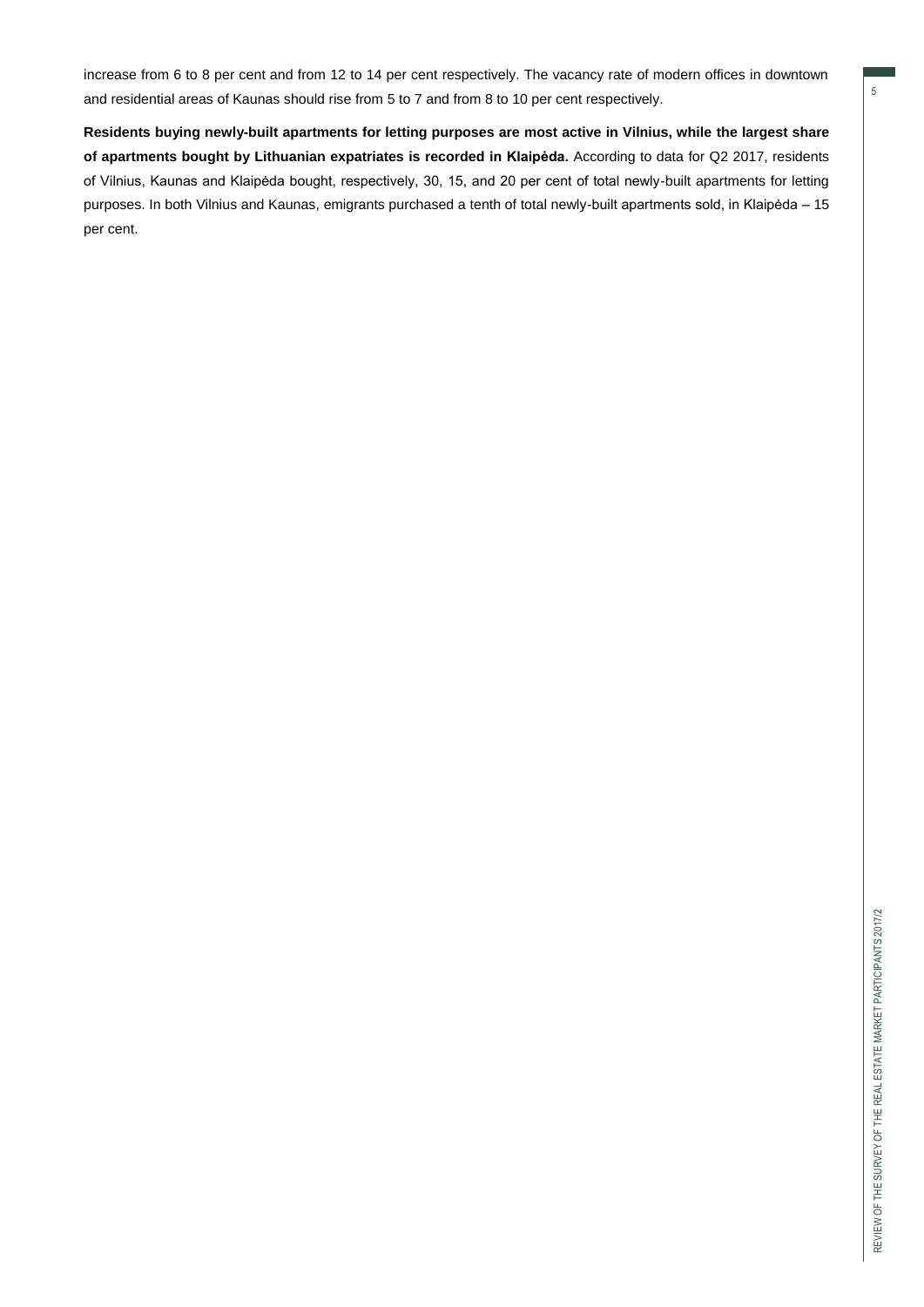5

increase from 6 to 8 per cent and from 12 to 14 per cent respectively. The vacancy rate of modern offices in downtown and residential areas of Kaunas should rise from 5 to 7 and from 8 to 10 per cent respectively.

**Residents buying newly-built apartments for letting purposes are most active in Vilnius, while the largest share of apartments bought by Lithuanian expatriates is recorded in Klaipėda.** According to data for Q2 2017, residents of Vilnius, Kaunas and Klaipėda bought, respectively, 30, 15, and 20 per cent of total newly-built apartments for letting purposes. In both Vilnius and Kaunas, emigrants purchased a tenth of total newly-built apartments sold, in Klaipėda – 15 per cent.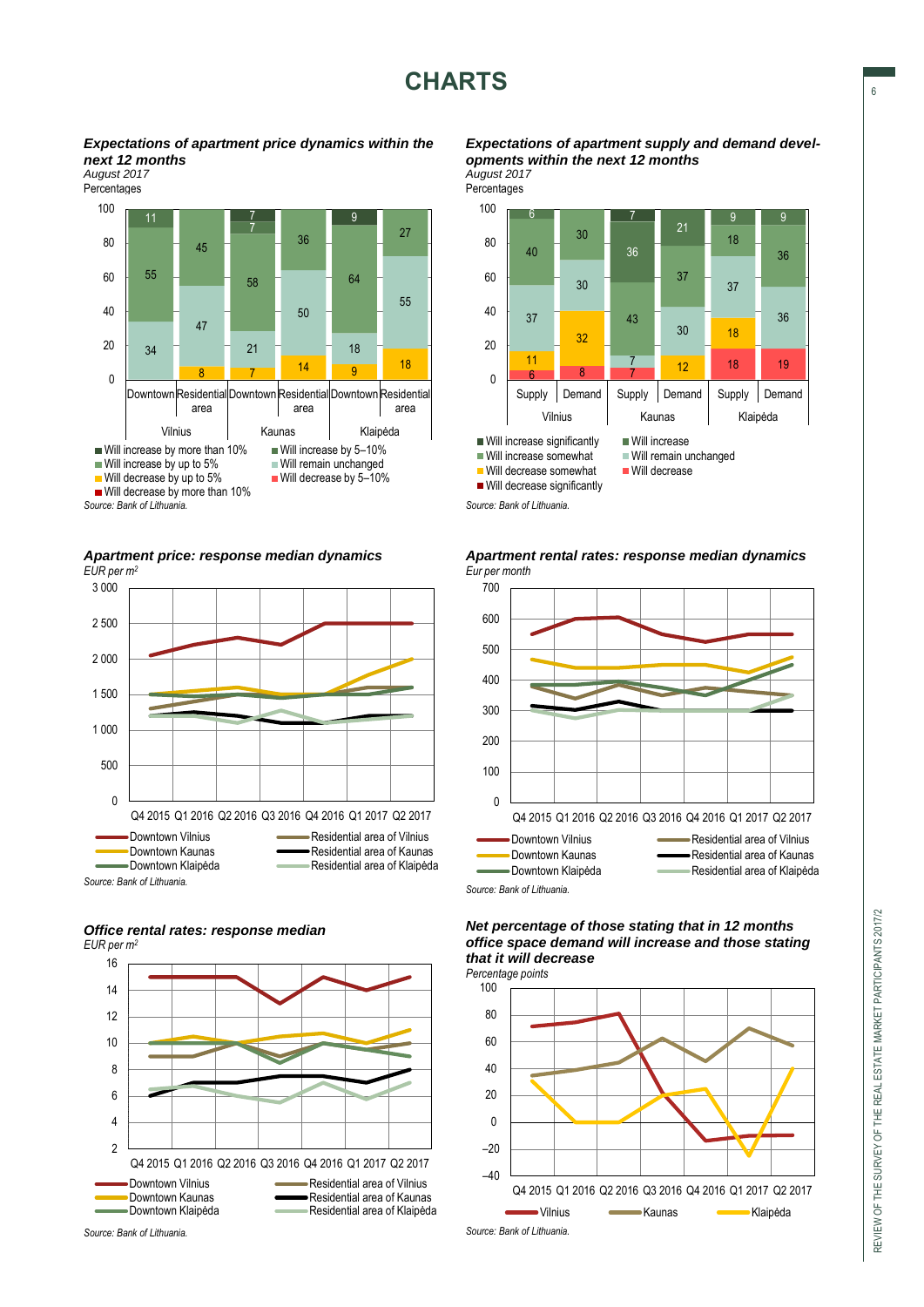*Expectations of apartment price dynamics within the next 12 months*

*August 2017*



*Apartment price: response median dynamics EUR per m<sup>2</sup>*



#### *Office rental rates: response median EUR per m<sup>2</sup>*



*Expectations of apartment supply and demand developments within the next 12 months August 2017*

Percentages





*Apartment rental rates: response median dynamics Eur per month*

*Net percentage of those stating that in 12 months office space demand will increase and those stating that it will decrease*